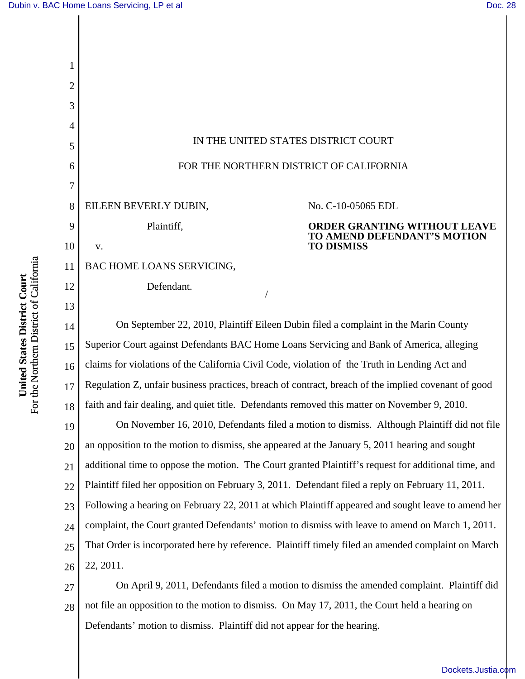

For the Northern District of California For the Northern District of California United States District Court **United States District Court**

16 17 18 19 20 21 22 23 24 25 26 an opposition to the motion to dismiss, she appeared at the January 5, 2011 hearing and sought additional time to oppose the motion. The Court granted Plaintiff's request for additional time, and Plaintiff filed her opposition on February 3, 2011. Defendant filed a reply on February 11, 2011. Following a hearing on February 22, 2011 at which Plaintiff appeared and sought leave to amend her complaint, the Court granted Defendants' motion to dismiss with leave to amend on March 1, 2011. That Order is incorporated here by reference. Plaintiff timely filed an amended complaint on March 22, 2011.

27 28 On April 9, 2011, Defendants filed a motion to dismiss the amended complaint. Plaintiff did not file an opposition to the motion to dismiss. On May 17, 2011, the Court held a hearing on Defendants' motion to dismiss. Plaintiff did not appear for the hearing.